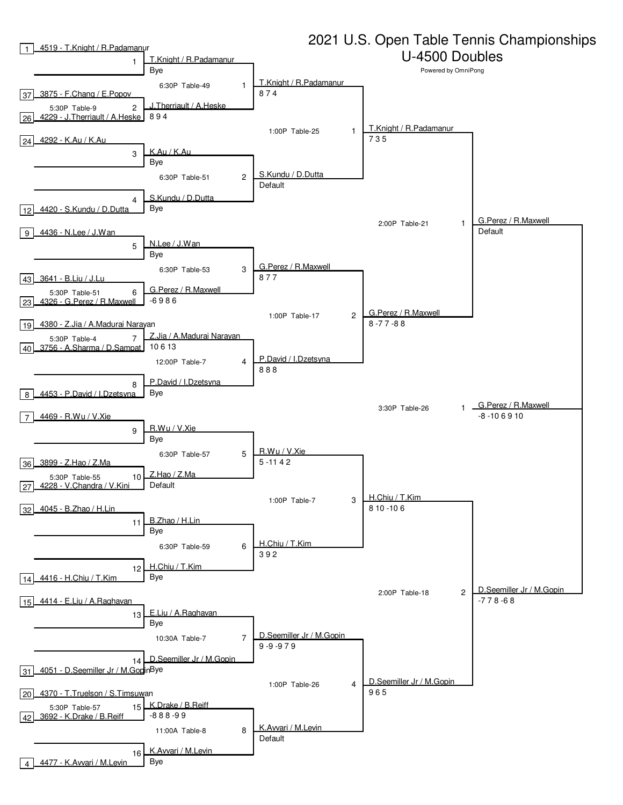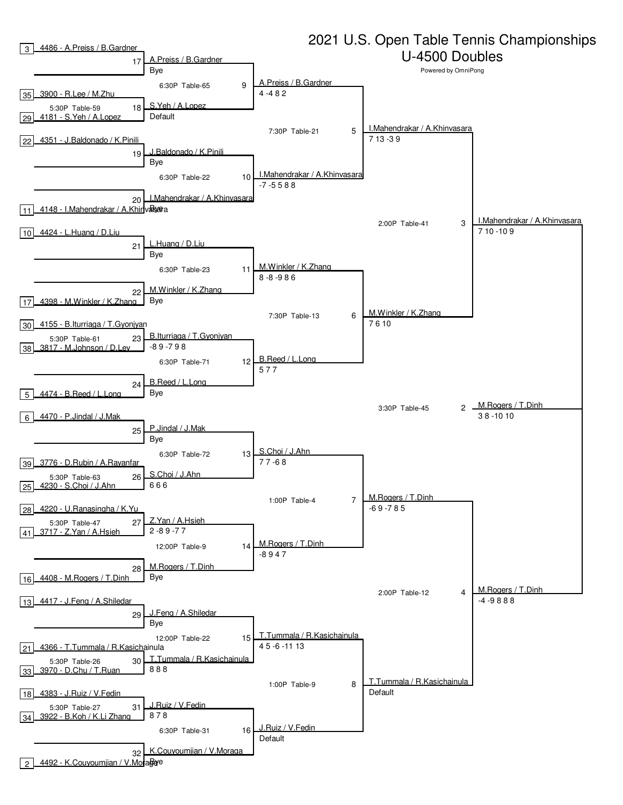